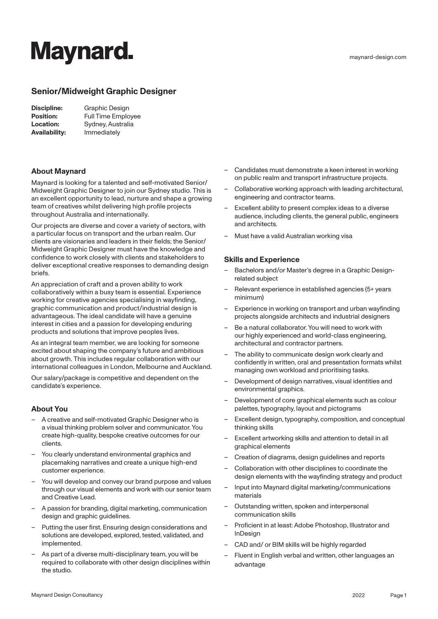# **Maynard.**

maynard-design.com

## **Senior/Midweight Graphic Designer**

| Discipline:          | Graphic Design            |
|----------------------|---------------------------|
| <b>Position:</b>     | <b>Full Time Employee</b> |
| <b>Location:</b>     | Sydney, Australia         |
| <b>Availability:</b> | Immediately               |

### **About Maynard**

Maynard is looking for a talented and self-motivated Senior/ Midweight Graphic Designer to join our Sydney studio. This is an excellent opportunity to lead, nurture and shape a growing team of creatives whilst delivering high profile projects throughout Australia and internationally.

Our projects are diverse and cover a variety of sectors, with a particular focus on transport and the urban realm. Our clients are visionaries and leaders in their fields; the Senior/ Midweight Graphic Designer must have the knowledge and confidence to work closely with clients and stakeholders to deliver exceptional creative responses to demanding design briefs.

An appreciation of craft and a proven ability to work collaboratively within a busy team is essential. Experience working for creative agencies specialising in wayfinding, graphic communication and product/industrial design is advantageous. The ideal candidate will have a genuine interest in cities and a passion for developing enduring products and solutions that improve peoples lives.

As an integral team member, we are looking for someone excited about shaping the company's future and ambitious about growth. This includes regular collaboration with our international colleagues in London, Melbourne and Auckland.

Our salary/package is competitive and dependent on the candidate's experience.

## **About You**

- A creative and self-motivated Graphic Designer who is a visual thinking problem solver and communicator. You create high-quality, bespoke creative outcomes for our clients.
- You clearly understand environmental graphics and placemaking narratives and create a unique high-end customer experience.
- You will develop and convey our brand purpose and values through our visual elements and work with our senior team and Creative Lead.
- A passion for branding, digital marketing, communication design and graphic guidelines.
- Putting the user first. Ensuring design considerations and solutions are developed, explored, tested, validated, and implemented.
- As part of a diverse multi-disciplinary team, you will be required to collaborate with other design disciplines within the studio.
- Candidates must demonstrate a keen interest in working on public realm and transport infrastructure projects.
- Collaborative working approach with leading architectural, engineering and contractor teams.
- Excellent ability to present complex ideas to a diverse audience, including clients, the general public, engineers and architects.
- Must have a valid Australian working visa

#### **Skills and Experience**

- Bachelors and/or Master's degree in a Graphic Designrelated subject
- Relevant experience in established agencies (5+ years minimum)
- Experience in working on transport and urban wayfinding projects alongside architects and industrial designers
- Be a natural collaborator. You will need to work with our highly experienced and world-class engineering, architectural and contractor partners.
- The ability to communicate design work clearly and confidently in written, oral and presentation formats whilst managing own workload and prioritising tasks.
- Development of design narratives, visual identities and environmental graphics.
- Development of core graphical elements such as colour palettes, typography, layout and pictograms
- Excellent design, typography, composition, and conceptual thinking skills
- Excellent artworking skills and attention to detail in all graphical elements
- Creation of diagrams, design guidelines and reports
- Collaboration with other disciplines to coordinate the design elements with the wayfinding strategy and product
- Input into Maynard digital marketing/communications materials
- Outstanding written, spoken and interpersonal communication skills
- Proficient in at least: Adobe Photoshop, Illustrator and InDesign
- CAD and/ or BIM skills will be highly regarded
- Fluent in English verbal and written, other languages an advantage